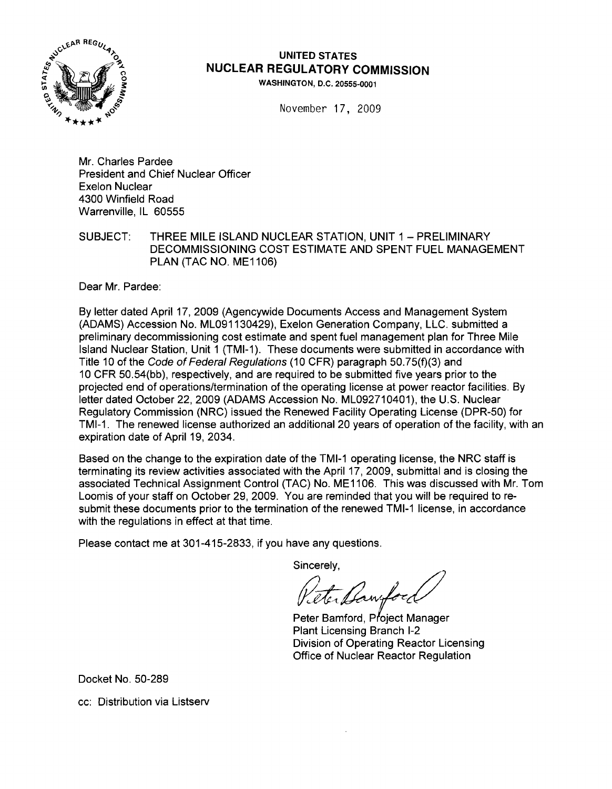

UNITED STATES NUCLEAR REGULATORY COMMISSION

WASHINGTON, D.C. 20555-0001

November 17, 2009

Mr. Charles Pardee President and Chief Nuclear Officer Exelon Nuclear 4300 Winfield Road Warrenville, IL 60555

SUBJECT: THREE MILE ISLAND NUCLEAR STATION, UNIT 1 - PRELIMINARY DECOMMISSIONING COST ESTIMATE AND SPENT FUEL MANAGEMENT PLAN (TAC NO. ME1106)

Dear Mr. Pardee:

By letter dated April 17, 2009 (Agencywide Documents Access and Management System (ADAMS) Accession No. ML091130429), Exelon Generation Company, LLC. submitted a preliminary decommissioning cost estimate and spent fuel management plan for Three Mile Island Nuclear Station, Unit 1 (TMI-1). These documents were submitted in accordance with Title 10 of the Code of Federal Regulations (10 CFR) paragraph 50.75(f)(3) and 10 CFR 50.54(bb), respectively, and are required to be submitted five years prior to the projected end of operations/termination of the operating license at power reactor facilities. By letter dated October 22, 2009 (ADAMS Accession No. ML092710401), the U.S. Nuclear Regulatory Commission (NRC) issued the Renewed Facility Operating License (DPR-50) for TMI-1. The renewed license authorized an additional 20 years of operation of the facility, with an expiration date of April 19, 2034.

Based on the change to the expiration date of the TMI-1 operating license, the NRC staff is terminating its review activities associated with the April 17, 2009, submittal and is closing the associated Technical Assignment Control (TAC) No. ME1106. This was discussed with Mr. Tom Loomis of your staff on October 29, 2009. You are reminded that you will be required to resubmit these documents prior to the termination of the renewed TMI-1 license, in accordance with the regulations in effect at that time.

Please contact me at 301-415-2833, if you have any questions.

Sincerelv.

Sawfor,

Peter Bamford, Project Manager Plant Licensing Branch 1-2 Division of Operating Reactor Licensing Office of Nuclear Reactor Regulation

Docket No. 50-289

cc: Distribution via Listserv